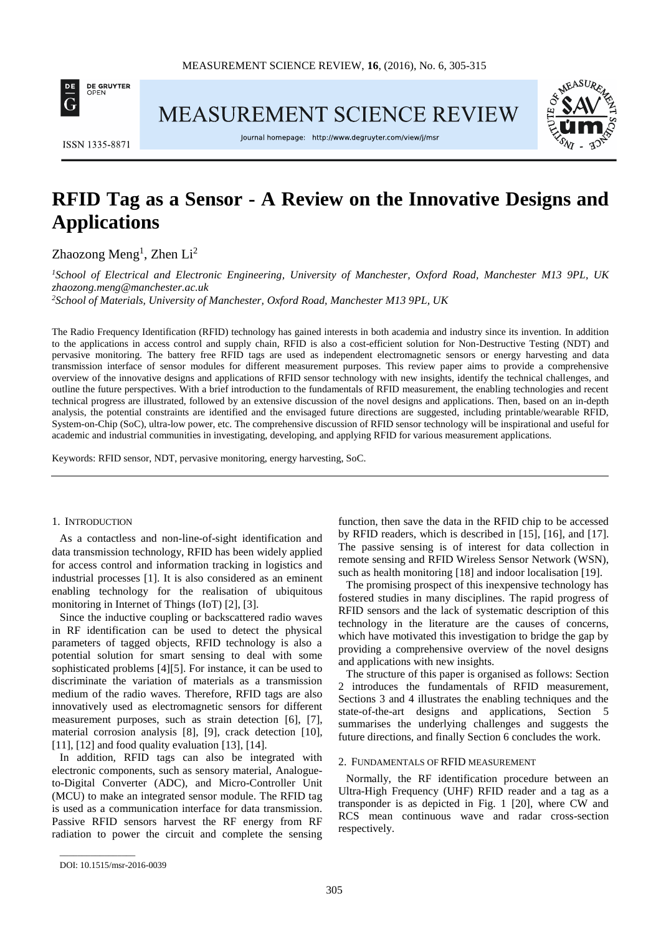

MEASUREMENT SCIENCE REVIEW



**ISSN 1335-8871** 

Journal homepage: http://www.degruyter.com/view/j/msr

# **RFID Tag as a Sensor - A Review on the Innovative Designs and Applications**

 $Z$ haozong Meng<sup>1</sup>, Zhen Li<sup>2</sup>

*<sup>1</sup>School of Electrical and Electronic Engineering, University of Manchester, Oxford Road, Manchester M13 9PL, UK zhaozong.meng@manchester.ac.uk*

*<sup>2</sup>School of Materials, University of Manchester, Oxford Road, Manchester M13 9PL, UK*

The Radio Frequency Identification (RFID) technology has gained interests in both academia and industry since its invention. In addition to the applications in access control and supply chain, RFID is also a cost-efficient solution for Non-Destructive Testing (NDT) and pervasive monitoring. The battery free RFID tags are used as independent electromagnetic sensors or energy harvesting and data transmission interface of sensor modules for different measurement purposes. This review paper aims to provide a comprehensive overview of the innovative designs and applications of RFID sensor technology with new insights, identify the technical challenges, and outline the future perspectives. With a brief introduction to the fundamentals of RFID measurement, the enabling technologies and recent technical progress are illustrated, followed by an extensive discussion of the novel designs and applications. Then, based on an in-depth analysis, the potential constraints are identified and the envisaged future directions are suggested, including printable/wearable RFID, System-on-Chip (SoC), ultra-low power, etc. The comprehensive discussion of RFID sensor technology will be inspirational and useful for academic and industrial communities in investigating, developing, and applying RFID for various measurement applications.

Keywords: RFID sensor, NDT, pervasive monitoring, energy harvesting, SoC.

## 1. INTRODUCTION

As a contactless and non-line-of-sight identification and data transmission technology, RFID has been widely applied for access control and information tracking in logistics and industrial processes [1]. It is also considered as an eminent enabling technology for the realisation of ubiquitous monitoring in Internet of Things (IoT) [2], [3].

Since the inductive coupling or backscattered radio waves in RF identification can be used to detect the physical parameters of tagged objects, RFID technology is also a potential solution for smart sensing to deal with some sophisticated problems [4][5]. For instance, it can be used to discriminate the variation of materials as a transmission medium of the radio waves. Therefore, RFID tags are also innovatively used as electromagnetic sensors for different measurement purposes, such as strain detection [6], [7], material corrosion analysis [8], [9], crack detection [10], [11], [12] and food quality evaluation [13], [14].

In addition, RFID tags can also be integrated with electronic components, such as sensory material, Analogueto-Digital Converter (ADC), and Micro-Controller Unit (MCU) to make an integrated sensor module. The RFID tag is used as a communication interface for data transmission. Passive RFID sensors harvest the RF energy from RF radiation to power the circuit and complete the sensing function, then save the data in the RFID chip to be accessed by RFID readers, which is described in [15], [16], and [17]. The passive sensing is of interest for data collection in remote sensing and RFID Wireless Sensor Network (WSN), such as health monitoring [18] and indoor localisation [19].

The promising prospect of this inexpensive technology has fostered studies in many disciplines. The rapid progress of RFID sensors and the lack of systematic description of this technology in the literature are the causes of concerns, which have motivated this investigation to bridge the gap by providing a comprehensive overview of the novel designs and applications with new insights.

The structure of this paper is organised as follows: Section 2 introduces the fundamentals of RFID measurement, Sections 3 and 4 illustrates the enabling techniques and the state-of-the-art designs and applications, Section 5 summarises the underlying challenges and suggests the future directions, and finally Section 6 concludes the work.

## 2. FUNDAMENTALS OF RFID MEASUREMENT

Normally, the RF identification procedure between an Ultra-High Frequency (UHF) RFID reader and a tag as a transponder is as depicted in Fig. 1 [20], where CW and RCS mean continuous wave and radar cross-section respectively.

 $\overline{\phantom{a}}$  , where  $\overline{\phantom{a}}$ 

DOI: 10.1515/msr-2016-0039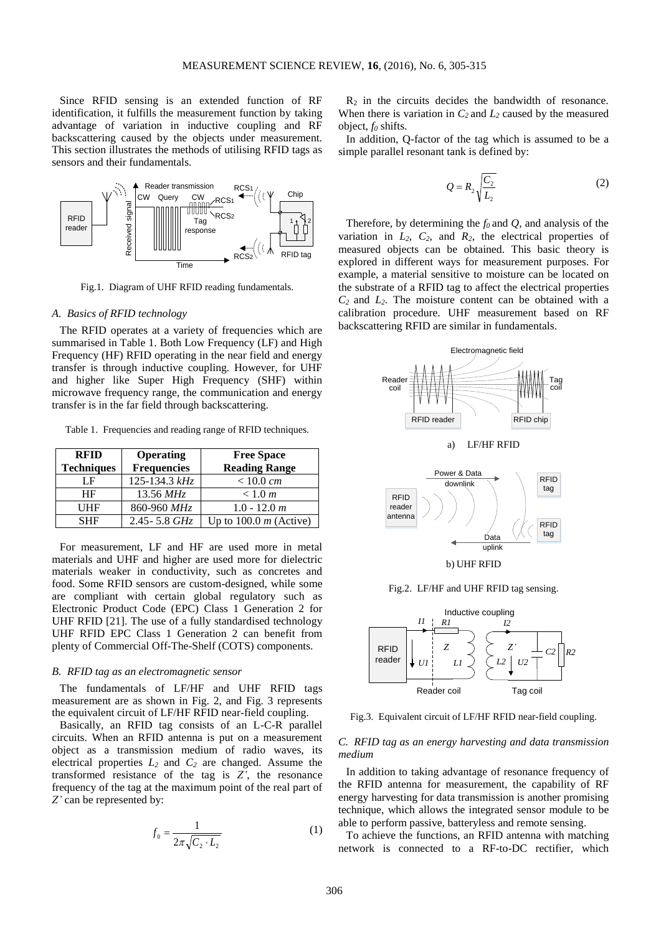Since RFID sensing is an extended function of RF identification, it fulfills the measurement function by taking advantage of variation in inductive coupling and RF backscattering caused by the objects under measurement. This section illustrates the methods of utilising RFID tags as sensors and their fundamentals.



Fig.1. Diagram of UHF RFID reading fundamentals.

## *A. Basics of RFID technology*

The RFID operates at a variety of frequencies which are summarised in Table 1. Both Low Frequency (LF) and High Frequency (HF) RFID operating in the near field and energy transfer is through inductive coupling. However, for UHF and higher like Super High Frequency (SHF) within microwave frequency range, the communication and energy transfer is in the far field through backscattering.

Table 1. Frequencies and reading range of RFID techniques.

| <b>RFID</b>       | <b>Operating</b>   | <b>Free Space</b>        |
|-------------------|--------------------|--------------------------|
| <b>Techniques</b> | <b>Frequencies</b> | <b>Reading Range</b>     |
| LΕ                | 125-134.3 kHz      | < 10.0 cm                |
| HF                | $13.56 \, MHz$     | < 1.0 m                  |
| UHF               | 860-960 MHz        | $1.0 - 12.0 m$           |
| <b>SHF</b>        | $2.45 - 5.8$ GHz   | Up to 100.0 $m$ (Active) |

For measurement, LF and HF are used more in metal materials and UHF and higher are used more for dielectric materials weaker in conductivity, such as concretes and food. Some RFID sensors are custom-designed, while some are compliant with certain global regulatory such as Electronic Product Code (EPC) Class 1 Generation 2 for UHF RFID [21]. The use of a fully standardised technology UHF RFID EPC Class 1 Generation 2 can benefit from plenty of Commercial Off-The-Shelf (COTS) components.

#### *B. RFID tag as an electromagnetic sensor*

The fundamentals of LF/HF and UHF RFID tags measurement are as shown in Fig. 2, and Fig. 3 represents the equivalent circuit of LF/HF RFID near-field coupling.

Basically, an RFID tag consists of an L-C-R parallel circuits. When an RFID antenna is put on a measurement object as a transmission medium of radio waves, its electrical properties *L<sup>2</sup>* and *C<sup>2</sup>* are changed. Assume the transformed resistance of the tag is *Z'*, the resonance frequency of the tag at the maximum point of the real part of *Z'* can be represented by:

$$
f_0 = \frac{1}{2\pi\sqrt{C_2 \cdot L_2}}\tag{1}
$$

 $R<sub>2</sub>$  in the circuits decides the bandwidth of resonance. When there is variation in  $C_2$  and  $L_2$  caused by the measured object, *f<sup>0</sup>* shifts.

In addition, Q-factor of the tag which is assumed to be a simple parallel resonant tank is defined by:

$$
Q = R_2 \sqrt{\frac{C_2}{L_2}} \tag{2}
$$

Therefore, by determining the *f<sup>0</sup>* and *Q*, and analysis of the variation in  $L_2$ ,  $C_2$ , and  $R_2$ , the electrical properties of measured objects can be obtained. This basic theory is explored in different ways for measurement purposes. For example, a material sensitive to moisture can be located on the substrate of a RFID tag to affect the electrical properties *C2* and *L2*. The moisture content can be obtained with a calibration procedure. UHF measurement based on RF backscattering RFID are similar in fundamentals.









Fig.3. Equivalent circuit of LF/HF RFID near-field coupling.

# *C. RFID tag as an energy harvesting and data transmission medium*

In addition to taking advantage of resonance frequency of the RFID antenna for measurement, the capability of RF energy harvesting for data transmission is another promising technique, which allows the integrated sensor module to be able to perform passive, batteryless and remote sensing.

To achieve the functions, an RFID antenna with matching network is connected to a RF-to-DC rectifier, which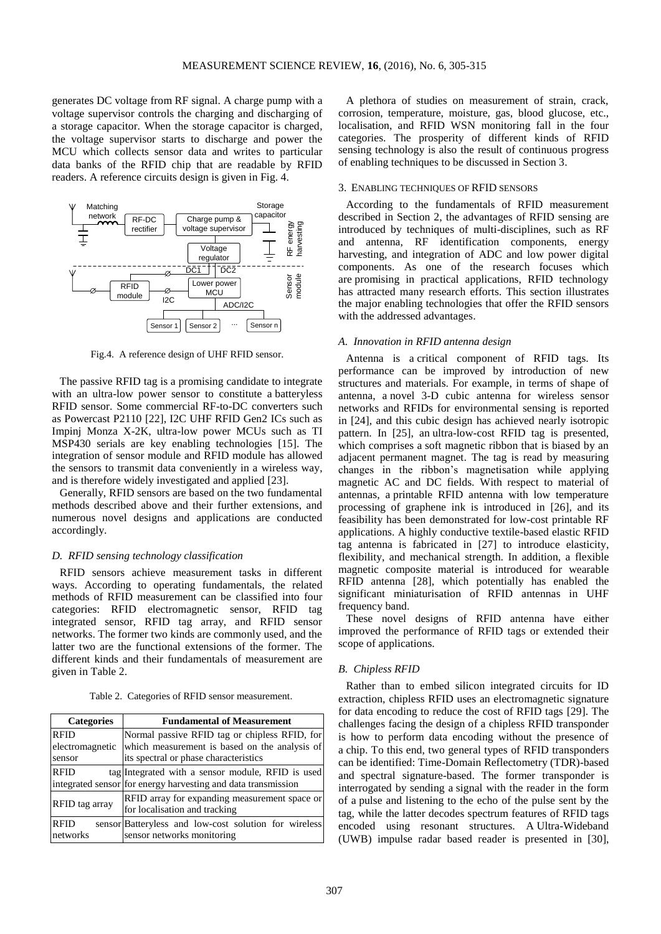generates DC voltage from RF signal. A charge pump with a voltage supervisor controls the charging and discharging of a storage capacitor. When the storage capacitor is charged, the voltage supervisor starts to discharge and power the MCU which collects sensor data and writes to particular data banks of the RFID chip that are readable by RFID readers. A reference circuits design is given in Fig. 4.



Fig.4. A reference design of UHF RFID sensor.

The passive RFID tag is a promising candidate to integrate with an ultra-low power sensor to constitute a batteryless RFID sensor. Some commercial RF-to-DC converters such as Powercast P2110 [22], I2C UHF RFID Gen2 ICs such as Impinj Monza X-2K, ultra-low power MCUs such as TI MSP430 serials are key enabling technologies [15]. The integration of sensor module and RFID module has allowed the sensors to transmit data conveniently in a wireless way, and is therefore widely investigated and applied [23].

Generally, RFID sensors are based on the two fundamental methods described above and their further extensions, and numerous novel designs and applications are conducted accordingly.

## *D. RFID sensing technology classification*

RFID sensors achieve measurement tasks in different ways. According to operating fundamentals, the related methods of RFID measurement can be classified into four categories: RFID electromagnetic sensor, RFID tag integrated sensor, RFID tag array, and RFID sensor networks. The former two kinds are commonly used, and the latter two are the functional extensions of the former. The different kinds and their fundamentals of measurement are given in Table 2.

Table 2. Categories of RFID sensor measurement.

| <b>Categories</b>                                                                                | <b>Fundamental of Measurement</b>                             |  |
|--------------------------------------------------------------------------------------------------|---------------------------------------------------------------|--|
| <b>RFID</b>                                                                                      | Normal passive RFID tag or chipless RFID, for                 |  |
| electromagnetic                                                                                  | which measurement is based on the analysis of                 |  |
| sensor                                                                                           | its spectral or phase characteristics                         |  |
| <b>RFID</b>                                                                                      | tag Integrated with a sensor module, RFID is used             |  |
|                                                                                                  | integrated sensor for energy harvesting and data transmission |  |
| RFID array for expanding measurement space or<br>RFID tag array<br>for localisation and tracking |                                                               |  |
| <b>RFID</b>                                                                                      | sensor Batteryless and low-cost solution for wireless         |  |
| networks                                                                                         | sensor networks monitoring                                    |  |

A plethora of studies on measurement of strain, crack, corrosion, temperature, moisture, gas, blood glucose, etc., localisation, and RFID WSN monitoring fall in the four categories. The prosperity of different kinds of RFID sensing technology is also the result of continuous progress of enabling techniques to be discussed in Section 3.

## 3. ENABLING TECHNIQUES OF RFID SENSORS

According to the fundamentals of RFID measurement described in Section 2, the advantages of RFID sensing are introduced by techniques of multi-disciplines, such as RF and antenna, RF identification components, energy harvesting, and integration of ADC and low power digital components. As one of the research focuses which are promising in practical applications, RFID technology has attracted many research efforts. This section illustrates the major enabling technologies that offer the RFID sensors with the addressed advantages.

#### *A. Innovation in RFID antenna design*

Antenna is a critical component of RFID tags. Its performance can be improved by introduction of new structures and materials. For example, in terms of shape of antenna, a novel 3-D cubic antenna for wireless sensor networks and RFIDs for environmental sensing is reported in [24], and this cubic design has achieved nearly isotropic pattern. In [25], an ultra-low-cost RFID tag is presented, which comprises a soft magnetic ribbon that is biased by an adjacent permanent magnet. The tag is read by measuring changes in the ribbon's magnetisation while applying magnetic AC and DC fields. With respect to material of antennas, a printable RFID antenna with low temperature processing of graphene ink is introduced in [26], and its feasibility has been demonstrated for low-cost printable RF applications. A highly conductive textile-based elastic RFID tag antenna is fabricated in [27] to introduce elasticity, flexibility, and mechanical strength. In addition, a flexible magnetic composite material is introduced for wearable RFID antenna [28], which potentially has enabled the significant miniaturisation of RFID antennas in UHF frequency band.

These novel designs of RFID antenna have either improved the performance of RFID tags or extended their scope of applications.

## *B. Chipless RFID*

Rather than to embed silicon integrated circuits for ID extraction, chipless RFID uses an electromagnetic signature for data encoding to reduce the cost of RFID tags [29]. The challenges facing the design of a chipless RFID transponder is how to perform data encoding without the presence of a chip. To this end, two general types of RFID transponders can be identified: Time-Domain Reflectometry (TDR)-based and spectral signature-based. The former transponder is interrogated by sending a signal with the reader in the form of a pulse and listening to the echo of the pulse sent by the tag, while the latter decodes spectrum features of RFID tags encoded using resonant structures. A Ultra-Wideband (UWB) impulse radar based reader is presented in [30],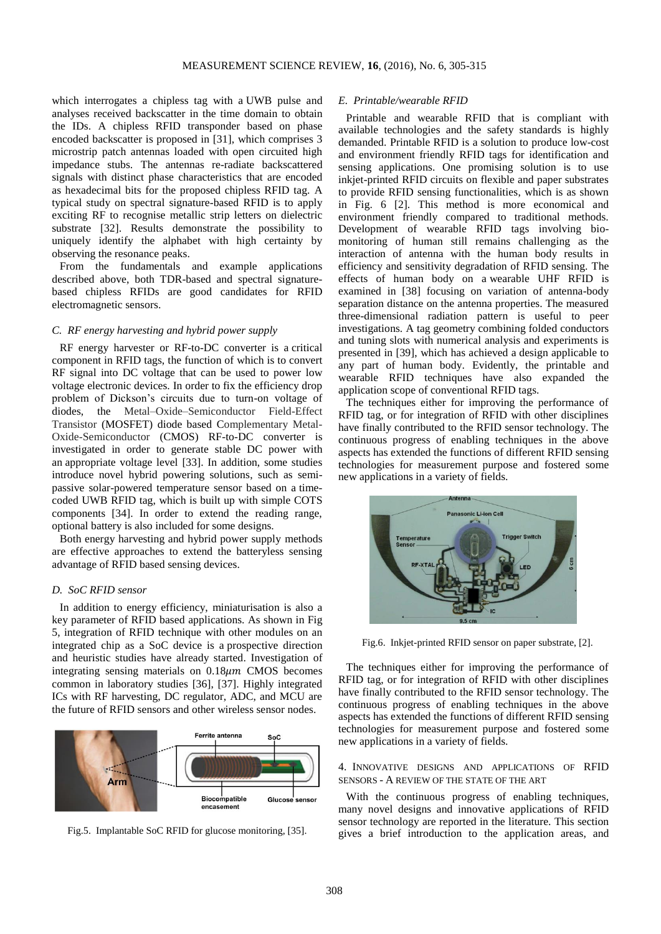which interrogates a chipless tag with a UWB pulse and analyses received backscatter in the time domain to obtain the IDs. A chipless RFID transponder based on phase encoded backscatter is proposed in [31], which comprises 3 microstrip patch antennas loaded with open circuited high impedance stubs. The antennas re-radiate backscattered signals with distinct phase characteristics that are encoded as hexadecimal bits for the proposed chipless RFID tag. A typical study on spectral signature-based RFID is to apply exciting RF to recognise metallic strip letters on dielectric substrate [32]. Results demonstrate the possibility to uniquely identify the alphabet with high certainty by observing the resonance peaks.

From the fundamentals and example applications described above, both TDR-based and spectral signaturebased chipless RFIDs are good candidates for RFID electromagnetic sensors.

## *C. RF energy harvesting and hybrid power supply*

RF energy harvester or RF-to-DC converter is a critical component in RFID tags, the function of which is to convert RF signal into DC voltage that can be used to power low voltage electronic devices. In order to fix the efficiency drop problem of Dickson's circuits due to turn-on voltage of diodes, the Metal–Oxide–Semiconductor Field-Effect Transistor (MOSFET) diode based Complementary Metal-Oxide-Semiconductor (CMOS) RF-to-DC converter is investigated in order to generate stable DC power with an appropriate voltage level [33]. In addition, some studies introduce novel hybrid powering solutions, such as semipassive solar-powered temperature sensor based on a timecoded UWB RFID tag, which is built up with simple COTS components [34]. In order to extend the reading range, optional battery is also included for some designs.

Both energy harvesting and hybrid power supply methods are effective approaches to extend the batteryless sensing advantage of RFID based sensing devices.

### *D. SoC RFID sensor*

In addition to energy efficiency, miniaturisation is also a key parameter of RFID based applications. As shown in Fig 5, integration of RFID technique with other modules on an integrated chip as a SoC device is a prospective direction and heuristic studies have already started. Investigation of integrating sensing materials on  $0.18 \mu m$  CMOS becomes common in laboratory studies [36], [37]. Highly integrated ICs with RF harvesting, DC regulator, ADC, and MCU are the future of RFID sensors and other wireless sensor nodes.



Fig.5. Implantable SoC RFID for glucose monitoring, [35].

### *E. Printable/wearable RFID*

Printable and wearable RFID that is compliant with available technologies and the safety standards is highly demanded. Printable RFID is a solution to produce low-cost and environment friendly RFID tags for identification and sensing applications. One promising solution is to use inkjet-printed RFID circuits on flexible and paper substrates to provide RFID sensing functionalities, which is as shown in Fig. 6 [2]. This method is more economical and environment friendly compared to traditional methods. Development of wearable RFID tags involving biomonitoring of human still remains challenging as the interaction of antenna with the human body results in efficiency and sensitivity degradation of RFID sensing. The effects of human body on a wearable UHF RFID is examined in [38] focusing on variation of antenna-body separation distance on the antenna properties. The measured three-dimensional radiation pattern is useful to peer investigations. A tag geometry combining folded conductors and tuning slots with numerical analysis and experiments is presented in [39], which has achieved a design applicable to any part of human body. Evidently, the printable and wearable RFID techniques have also expanded the application scope of conventional RFID tags.

The techniques either for improving the performance of RFID tag, or for integration of RFID with other disciplines have finally contributed to the RFID sensor technology. The continuous progress of enabling techniques in the above aspects has extended the functions of different RFID sensing technologies for measurement purpose and fostered some new applications in a variety of fields.



Fig.6. Inkjet-printed RFID sensor on paper substrate, [2].

The techniques either for improving the performance of RFID tag, or for integration of RFID with other disciplines have finally contributed to the RFID sensor technology. The continuous progress of enabling techniques in the above aspects has extended the functions of different RFID sensing technologies for measurement purpose and fostered some new applications in a variety of fields.

## 4. INNOVATIVE DESIGNS AND APPLICATIONS OF RFID SENSORS - A REVIEW OF THE STATE OF THE ART

With the continuous progress of enabling techniques, many novel designs and innovative applications of RFID sensor technology are reported in the literature. This section gives a brief introduction to the application areas, and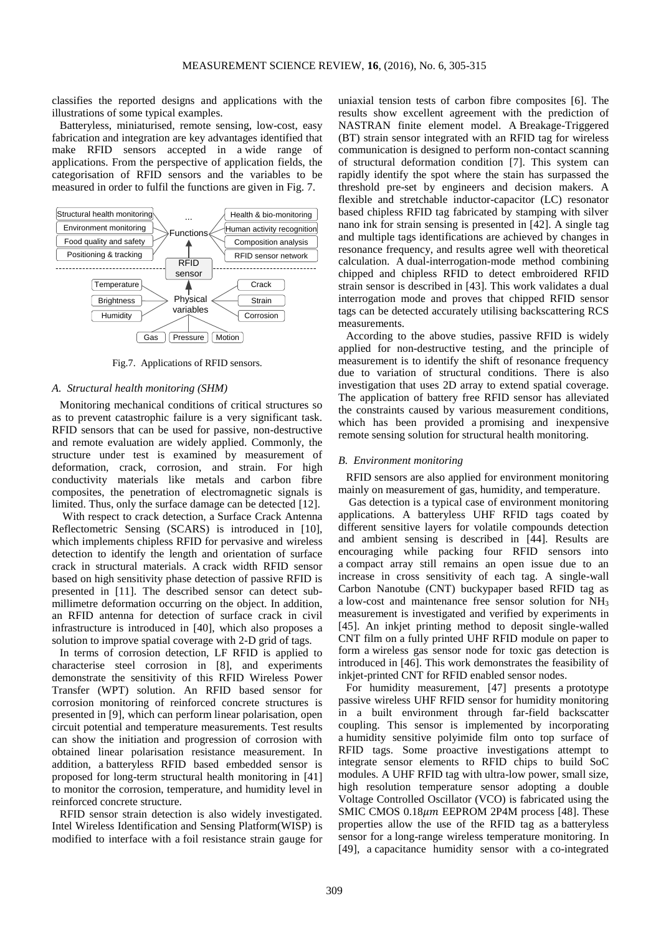classifies the reported designs and applications with the illustrations of some typical examples.

Batteryless, miniaturised, remote sensing, low-cost, easy fabrication and integration are key advantages identified that make RFID sensors accepted in a wide range of applications. From the perspective of application fields, the categorisation of RFID sensors and the variables to be measured in order to fulfil the functions are given in Fig. 7.



Fig.7. Applications of RFID sensors.

## *A. Structural health monitoring (SHM)*

Monitoring mechanical conditions of critical structures so as to prevent catastrophic failure is a very significant task. RFID sensors that can be used for passive, non-destructive and remote evaluation are widely applied. Commonly, the structure under test is examined by measurement of deformation, crack, corrosion, and strain. For high conductivity materials like metals and carbon fibre composites, the penetration of electromagnetic signals is limited. Thus, only the surface damage can be detected [12].

With respect to crack detection, a Surface Crack Antenna Reflectometric Sensing (SCARS) is introduced in [10], which implements chipless RFID for pervasive and wireless detection to identify the length and orientation of surface crack in structural materials. A crack width RFID sensor based on high sensitivity phase detection of passive RFID is presented in [11]. The described sensor can detect submillimetre deformation occurring on the object. In addition, an RFID antenna for detection of surface crack in civil infrastructure is introduced in [40], which also proposes a solution to improve spatial coverage with 2-D grid of tags.

In terms of corrosion detection, LF RFID is applied to characterise steel corrosion in [8], and experiments demonstrate the sensitivity of this RFID Wireless Power Transfer (WPT) solution. An RFID based sensor for corrosion monitoring of reinforced concrete structures is presented in [9], which can perform linear polarisation, open circuit potential and temperature measurements. Test results can show the initiation and progression of corrosion with obtained linear polarisation resistance measurement. In addition, a batteryless RFID based embedded sensor is proposed for long-term structural health monitoring in [41] to monitor the corrosion, temperature, and humidity level in reinforced concrete structure.

RFID sensor strain detection is also widely investigated. Intel Wireless Identification and Sensing Platform(WISP) is modified to interface with a foil resistance strain gauge for uniaxial tension tests of carbon fibre composites [6]. The results show excellent agreement with the prediction of NASTRAN finite element model. A Breakage-Triggered (BT) strain sensor integrated with an RFID tag for wireless communication is designed to perform non-contact scanning of structural deformation condition [7]. This system can rapidly identify the spot where the stain has surpassed the threshold pre-set by engineers and decision makers. A flexible and stretchable inductor-capacitor (LC) resonator based chipless RFID tag fabricated by stamping with silver nano ink for strain sensing is presented in [42]. A single tag and multiple tags identifications are achieved by changes in resonance frequency, and results agree well with theoretical calculation. A dual-interrogation-mode method combining chipped and chipless RFID to detect embroidered RFID strain sensor is described in [43]. This work validates a dual interrogation mode and proves that chipped RFID sensor tags can be detected accurately utilising backscattering RCS measurements.

According to the above studies, passive RFID is widely applied for non-destructive testing, and the principle of measurement is to identify the shift of resonance frequency due to variation of structural conditions. There is also investigation that uses 2D array to extend spatial coverage. The application of battery free RFID sensor has alleviated the constraints caused by various measurement conditions, which has been provided a promising and inexpensive remote sensing solution for structural health monitoring.

## *B. Environment monitoring*

RFID sensors are also applied for environment monitoring mainly on measurement of gas, humidity, and temperature.

Gas detection is a typical case of environment monitoring applications. A batteryless UHF RFID tags coated by different sensitive layers for volatile compounds detection and ambient sensing is described in [44]. Results are encouraging while packing four RFID sensors into a compact array still remains an open issue due to an increase in cross sensitivity of each tag. A single-wall Carbon Nanotube (CNT) buckypaper based RFID tag as a low-cost and maintenance free sensor solution for NH<sup>3</sup> measurement is investigated and verified by experiments in [45]. An inkjet printing method to deposit single-walled CNT film on a fully printed UHF RFID module on paper to form a wireless gas sensor node for toxic gas detection is introduced in [46]. This work demonstrates the feasibility of inkiet-printed CNT for RFID enabled sensor nodes.

For humidity measurement, [47] presents a prototype passive wireless UHF RFID sensor for humidity monitoring in a built environment through far-field backscatter coupling. This sensor is implemented by incorporating a humidity sensitive polyimide film onto top surface of RFID tags. Some proactive investigations attempt to integrate sensor elements to RFID chips to build SoC modules. A UHF RFID tag with ultra-low power, small size, high resolution temperature sensor adopting a double Voltage Controlled Oscillator (VCO) is fabricated using the SMIC CMOS  $0.18 \mu m$  EEPROM 2P4M process [48]. These properties allow the use of the RFID tag as a batteryless sensor for a long-range wireless temperature monitoring. In [49], a capacitance humidity sensor with a co-integrated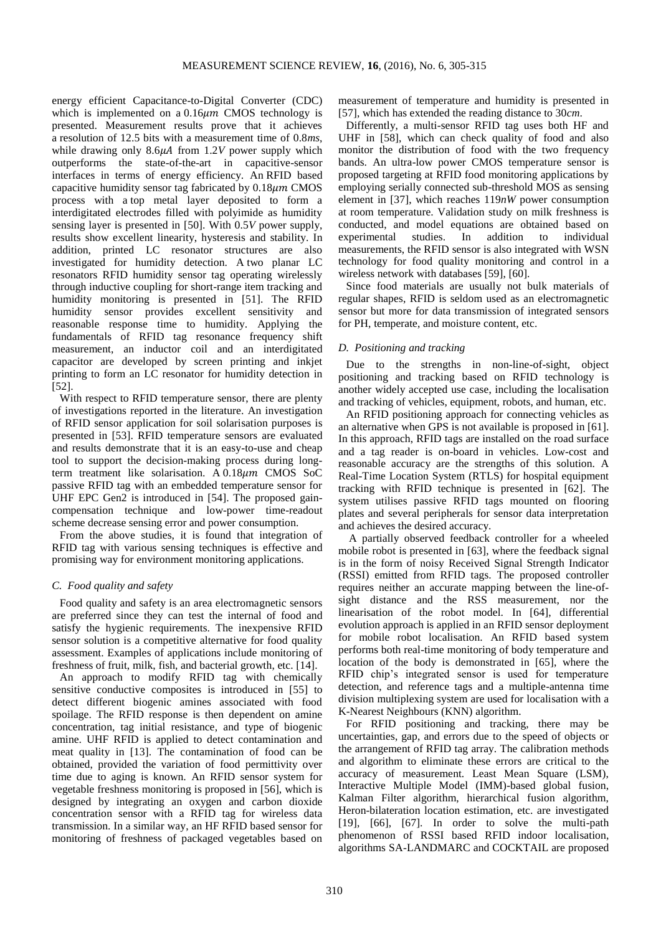energy efficient Capacitance-to-Digital Converter (CDC) which is implemented on a  $0.16 \mu m$  CMOS technology is presented. Measurement results prove that it achieves a resolution of 12.5 bits with a measurement time of 0.8*ms*, while drawing only  $8.6\mu A$  from 1.2*V* power supply which outperforms the state-of-the-art in capacitive-sensor interfaces in terms of energy efficiency. An RFID based capacitive humidity sensor tag fabricated by  $0.18 \mu m$  CMOS process with a top metal layer deposited to form a interdigitated electrodes filled with polyimide as humidity sensing layer is presented in [50]. With 0.5*V* power supply, results show excellent linearity, hysteresis and stability. In addition, printed LC resonator structures are also investigated for humidity detection. A two planar LC resonators RFID humidity sensor tag operating wirelessly through inductive coupling for short-range item tracking and humidity monitoring is presented in [51]. The RFID humidity sensor provides excellent sensitivity and reasonable response time to humidity. Applying the fundamentals of RFID tag resonance frequency shift measurement, an inductor coil and an interdigitated capacitor are developed by screen printing and inkjet printing to form an LC resonator for humidity detection in [52].

With respect to RFID temperature sensor, there are plenty of investigations reported in the literature. An investigation of RFID sensor application for soil solarisation purposes is presented in [53]. RFID temperature sensors are evaluated and results demonstrate that it is an easy-to-use and cheap tool to support the decision-making process during longterm treatment like solarisation. A  $0.18 \mu m$  CMOS SoC passive RFID tag with an embedded temperature sensor for UHF EPC Gen2 is introduced in [54]. The proposed gaincompensation technique and low-power time-readout scheme decrease sensing error and power consumption.

From the above studies, it is found that integration of RFID tag with various sensing techniques is effective and promising way for environment monitoring applications.

## *C. Food quality and safety*

Food quality and safety is an area electromagnetic sensors are preferred since they can test the internal of food and satisfy the hygienic requirements. The inexpensive RFID sensor solution is a competitive alternative for food quality assessment. Examples of applications include monitoring of freshness of fruit, milk, fish, and bacterial growth, etc. [14].

An approach to modify RFID tag with chemically sensitive conductive composites is introduced in [55] to detect different biogenic amines associated with food spoilage. The RFID response is then dependent on amine concentration, tag initial resistance, and type of biogenic amine. UHF RFID is applied to detect contamination and meat quality in [13]. The contamination of food can be obtained, provided the variation of food permittivity over time due to aging is known. An RFID sensor system for vegetable freshness monitoring is proposed in [56], which is designed by integrating an oxygen and carbon dioxide concentration sensor with a RFID tag for wireless data transmission. In a similar way, an HF RFID based sensor for monitoring of freshness of packaged vegetables based on measurement of temperature and humidity is presented in [57], which has extended the reading distance to 30*cm*.

Differently, a multi-sensor RFID tag uses both HF and UHF in [58], which can check quality of food and also monitor the distribution of food with the two frequency bands. An ultra-low power CMOS temperature sensor is proposed targeting at RFID food monitoring applications by employing serially connected sub-threshold MOS as sensing element in [37], which reaches 119*nW* power consumption at room temperature. Validation study on milk freshness is conducted, and model equations are obtained based on experimental studies. In addition to individual measurements, the RFID sensor is also integrated with WSN technology for food quality monitoring and control in a wireless network with databases [59], [60].

Since food materials are usually not bulk materials of regular shapes, RFID is seldom used as an electromagnetic sensor but more for data transmission of integrated sensors for PH, temperate, and moisture content, etc.

# *D. Positioning and tracking*

Due to the strengths in non-line-of-sight, object positioning and tracking based on RFID technology is another widely accepted use case, including the localisation and tracking of vehicles, equipment, robots, and human, etc.

An RFID positioning approach for connecting vehicles as an alternative when GPS is not available is proposed in [61]. In this approach, RFID tags are installed on the road surface and a tag reader is on-board in vehicles. Low-cost and reasonable accuracy are the strengths of this solution. A Real-Time Location System (RTLS) for hospital equipment tracking with RFID technique is presented in [62]. The system utilises passive RFID tags mounted on flooring plates and several peripherals for sensor data interpretation and achieves the desired accuracy.

A partially observed feedback controller for a wheeled mobile robot is presented in [63], where the feedback signal is in the form of noisy Received Signal Strength Indicator (RSSI) emitted from RFID tags. The proposed controller requires neither an accurate mapping between the line-ofsight distance and the RSS measurement, nor the linearisation of the robot model. In [64], differential evolution approach is applied in an RFID sensor deployment for mobile robot localisation. An RFID based system performs both real-time monitoring of body temperature and location of the body is demonstrated in [65], where the RFID chip's integrated sensor is used for temperature detection, and reference tags and a multiple-antenna time division multiplexing system are used for localisation with a K-Nearest Neighbours (KNN) algorithm.

For RFID positioning and tracking, there may be uncertainties, gap, and errors due to the speed of objects or the arrangement of RFID tag array. The calibration methods and algorithm to eliminate these errors are critical to the accuracy of measurement. Least Mean Square (LSM), Interactive Multiple Model (IMM)-based global fusion, Kalman Filter algorithm, hierarchical fusion algorithm, Heron-bilateration location estimation, etc. are investigated [19], [66], [67]. In order to solve the multi-path phenomenon of RSSI based RFID indoor localisation, algorithms SA-LANDMARC and COCKTAIL are proposed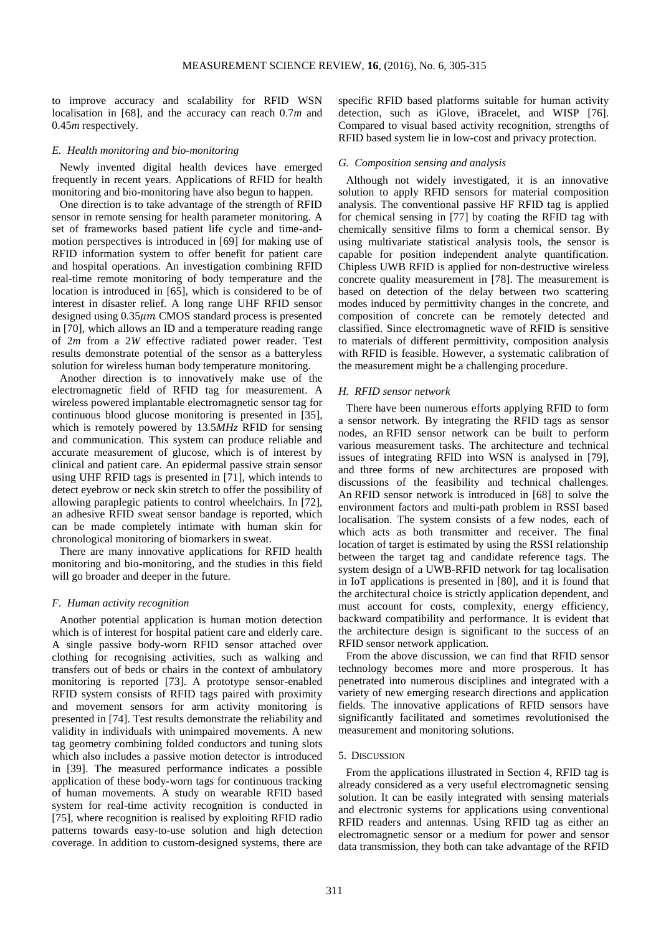to improve accuracy and scalability for RFID WSN localisation in [68], and the accuracy can reach 0.7*m* and 0.45*m* respectively.

## *E. Health monitoring and bio-monitoring*

Newly invented digital health devices have emerged frequently in recent years. Applications of RFID for health monitoring and bio-monitoring have also begun to happen.

One direction is to take advantage of the strength of RFID sensor in remote sensing for health parameter monitoring. A set of frameworks based patient life cycle and time-andmotion perspectives is introduced in [69] for making use of RFID information system to offer benefit for patient care and hospital operations. An investigation combining RFID real-time remote monitoring of body temperature and the location is introduced in [65], which is considered to be of interest in disaster relief. A long range UHF RFID sensor designed using  $0.35 \mu m$  CMOS standard process is presented in [70], which allows an ID and a temperature reading range of 2*m* from a 2*W* effective radiated power reader. Test results demonstrate potential of the sensor as a batteryless solution for wireless human body temperature monitoring.

Another direction is to innovatively make use of the electromagnetic field of RFID tag for measurement. A wireless powered implantable electromagnetic sensor tag for continuous blood glucose monitoring is presented in [35], which is remotely powered by 13.5*MHz* RFID for sensing and communication. This system can produce reliable and accurate measurement of glucose, which is of interest by clinical and patient care. An epidermal passive strain sensor using UHF RFID tags is presented in [71], which intends to detect eyebrow or neck skin stretch to offer the possibility of allowing paraplegic patients to control wheelchairs. In [72], an adhesive RFID sweat sensor bandage is reported, which can be made completely intimate with human skin for chronological monitoring of biomarkers in sweat.

There are many innovative applications for RFID health monitoring and bio-monitoring, and the studies in this field will go broader and deeper in the future.

## *F. Human activity recognition*

Another potential application is human motion detection which is of interest for hospital patient care and elderly care. A single passive body-worn RFID sensor attached over clothing for recognising activities, such as walking and transfers out of beds or chairs in the context of ambulatory monitoring is reported [73]. A prototype sensor-enabled RFID system consists of RFID tags paired with proximity and movement sensors for arm activity monitoring is presented in [74]. Test results demonstrate the reliability and validity in individuals with unimpaired movements. A new tag geometry combining folded conductors and tuning slots which also includes a passive motion detector is introduced in [39]. The measured performance indicates a possible application of these body-worn tags for continuous tracking of human movements. A study on wearable RFID based system for real-time activity recognition is conducted in [75], where recognition is realised by exploiting RFID radio patterns towards easy-to-use solution and high detection coverage. In addition to custom-designed systems, there are specific RFID based platforms suitable for human activity detection, such as iGlove, iBracelet, and WISP [76]. Compared to visual based activity recognition, strengths of RFID based system lie in low-cost and privacy protection.

## *G. Composition sensing and analysis*

Although not widely investigated, it is an innovative solution to apply RFID sensors for material composition analysis. The conventional passive HF RFID tag is applied for chemical sensing in [77] by coating the RFID tag with chemically sensitive films to form a chemical sensor. By using multivariate statistical analysis tools, the sensor is capable for position independent analyte quantification. Chipless UWB RFID is applied for non-destructive wireless concrete quality measurement in [78]. The measurement is based on detection of the delay between two scattering modes induced by permittivity changes in the concrete, and composition of concrete can be remotely detected and classified. Since electromagnetic wave of RFID is sensitive to materials of different permittivity, composition analysis with RFID is feasible. However, a systematic calibration of the measurement might be a challenging procedure.

## *H. RFID sensor network*

There have been numerous efforts applying RFID to form a sensor network. By integrating the RFID tags as sensor nodes, an RFID sensor network can be built to perform various measurement tasks. The architecture and technical issues of integrating RFID into WSN is analysed in [79], and three forms of new architectures are proposed with discussions of the feasibility and technical challenges. An RFID sensor network is introduced in [68] to solve the environment factors and multi-path problem in RSSI based localisation. The system consists of a few nodes, each of which acts as both transmitter and receiver. The final location of target is estimated by using the RSSI relationship between the target tag and candidate reference tags. The system design of a UWB-RFID network for tag localisation in IoT applications is presented in [80], and it is found that the architectural choice is strictly application dependent, and must account for costs, complexity, energy efficiency, backward compatibility and performance. It is evident that the architecture design is significant to the success of an RFID sensor network application.

From the above discussion, we can find that RFID sensor technology becomes more and more prosperous. It has penetrated into numerous disciplines and integrated with a variety of new emerging research directions and application fields. The innovative applications of RFID sensors have significantly facilitated and sometimes revolutionised the measurement and monitoring solutions.

## 5. DISCUSSION

From the applications illustrated in Section 4, RFID tag is already considered as a very useful electromagnetic sensing solution. It can be easily integrated with sensing materials and electronic systems for applications using conventional RFID readers and antennas. Using RFID tag as either an electromagnetic sensor or a medium for power and sensor data transmission, they both can take advantage of the RFID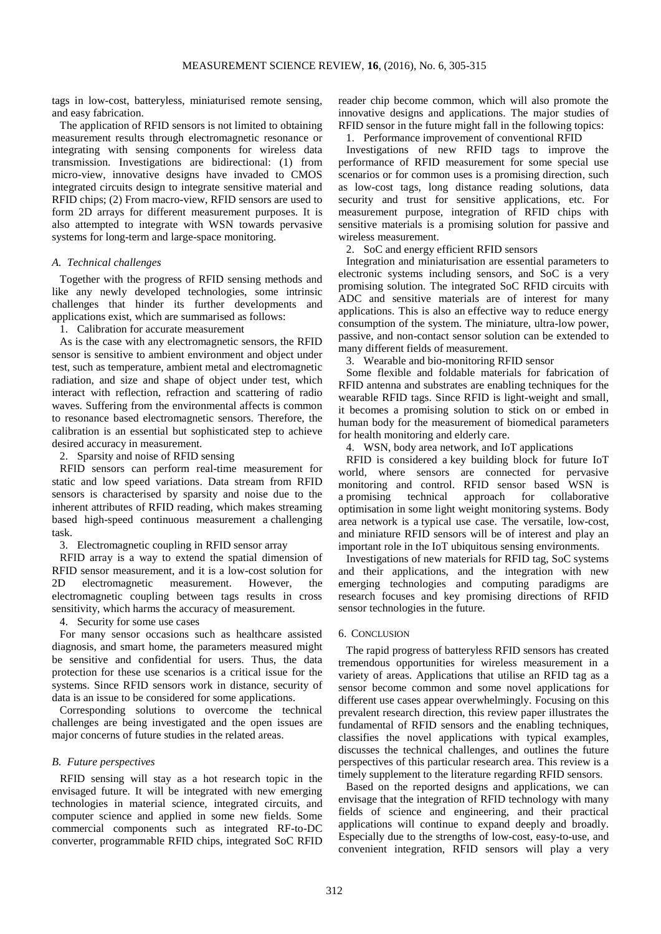tags in low-cost, batteryless, miniaturised remote sensing, and easy fabrication.

The application of RFID sensors is not limited to obtaining measurement results through electromagnetic resonance or integrating with sensing components for wireless data transmission. Investigations are bidirectional: (1) from micro-view, innovative designs have invaded to CMOS integrated circuits design to integrate sensitive material and RFID chips; (2) From macro-view, RFID sensors are used to form 2D arrays for different measurement purposes. It is also attempted to integrate with WSN towards pervasive systems for long-term and large-space monitoring.

## *A. Technical challenges*

Together with the progress of RFID sensing methods and like any newly developed technologies, some intrinsic challenges that hinder its further developments and applications exist, which are summarised as follows:

1. Calibration for accurate measurement

As is the case with any electromagnetic sensors, the RFID sensor is sensitive to ambient environment and object under test, such as temperature, ambient metal and electromagnetic radiation, and size and shape of object under test, which interact with reflection, refraction and scattering of radio waves. Suffering from the environmental affects is common to resonance based electromagnetic sensors. Therefore, the calibration is an essential but sophisticated step to achieve desired accuracy in measurement.

2. Sparsity and noise of RFID sensing

RFID sensors can perform real-time measurement for static and low speed variations. Data stream from RFID sensors is characterised by sparsity and noise due to the inherent attributes of RFID reading, which makes streaming based high-speed continuous measurement a challenging task.

3. Electromagnetic coupling in RFID sensor array

RFID array is a way to extend the spatial dimension of RFID sensor measurement, and it is a low-cost solution for 2D electromagnetic measurement. However, the electromagnetic coupling between tags results in cross sensitivity, which harms the accuracy of measurement.

4. Security for some use cases

For many sensor occasions such as healthcare assisted diagnosis, and smart home, the parameters measured might be sensitive and confidential for users. Thus, the data protection for these use scenarios is a critical issue for the systems. Since RFID sensors work in distance, security of data is an issue to be considered for some applications.

Corresponding solutions to overcome the technical challenges are being investigated and the open issues are major concerns of future studies in the related areas.

## *B. Future perspectives*

RFID sensing will stay as a hot research topic in the envisaged future. It will be integrated with new emerging technologies in material science, integrated circuits, and computer science and applied in some new fields. Some commercial components such as integrated RF-to-DC converter, programmable RFID chips, integrated SoC RFID reader chip become common, which will also promote the innovative designs and applications. The major studies of RFID sensor in the future might fall in the following topics:

## 1. Performance improvement of conventional RFID

Investigations of new RFID tags to improve the performance of RFID measurement for some special use scenarios or for common uses is a promising direction, such as low-cost tags, long distance reading solutions, data security and trust for sensitive applications, etc. For measurement purpose, integration of RFID chips with sensitive materials is a promising solution for passive and wireless measurement.

2. SoC and energy efficient RFID sensors

Integration and miniaturisation are essential parameters to electronic systems including sensors, and SoC is a very promising solution. The integrated SoC RFID circuits with ADC and sensitive materials are of interest for many applications. This is also an effective way to reduce energy consumption of the system. The miniature, ultra-low power, passive, and non-contact sensor solution can be extended to many different fields of measurement.

3. Wearable and bio-monitoring RFID sensor

Some flexible and foldable materials for fabrication of RFID antenna and substrates are enabling techniques for the wearable RFID tags. Since RFID is light-weight and small, it becomes a promising solution to stick on or embed in human body for the measurement of biomedical parameters for health monitoring and elderly care.

4. WSN, body area network, and IoT applications

RFID is considered a key building block for future IoT world, where sensors are connected for pervasive monitoring and control. RFID sensor based WSN is a promising technical approach for collaborative optimisation in some light weight monitoring systems. Body area network is a typical use case. The versatile, low-cost, and miniature RFID sensors will be of interest and play an important role in the IoT ubiquitous sensing environments.

Investigations of new materials for RFID tag, SoC systems and their applications, and the integration with new emerging technologies and computing paradigms are research focuses and key promising directions of RFID sensor technologies in the future.

#### 6. CONCLUSION

The rapid progress of batteryless RFID sensors has created tremendous opportunities for wireless measurement in a variety of areas. Applications that utilise an RFID tag as a sensor become common and some novel applications for different use cases appear overwhelmingly. Focusing on this prevalent research direction, this review paper illustrates the fundamental of RFID sensors and the enabling techniques, classifies the novel applications with typical examples, discusses the technical challenges, and outlines the future perspectives of this particular research area. This review is a timely supplement to the literature regarding RFID sensors.

Based on the reported designs and applications, we can envisage that the integration of RFID technology with many fields of science and engineering, and their practical applications will continue to expand deeply and broadly. Especially due to the strengths of low-cost, easy-to-use, and convenient integration, RFID sensors will play a very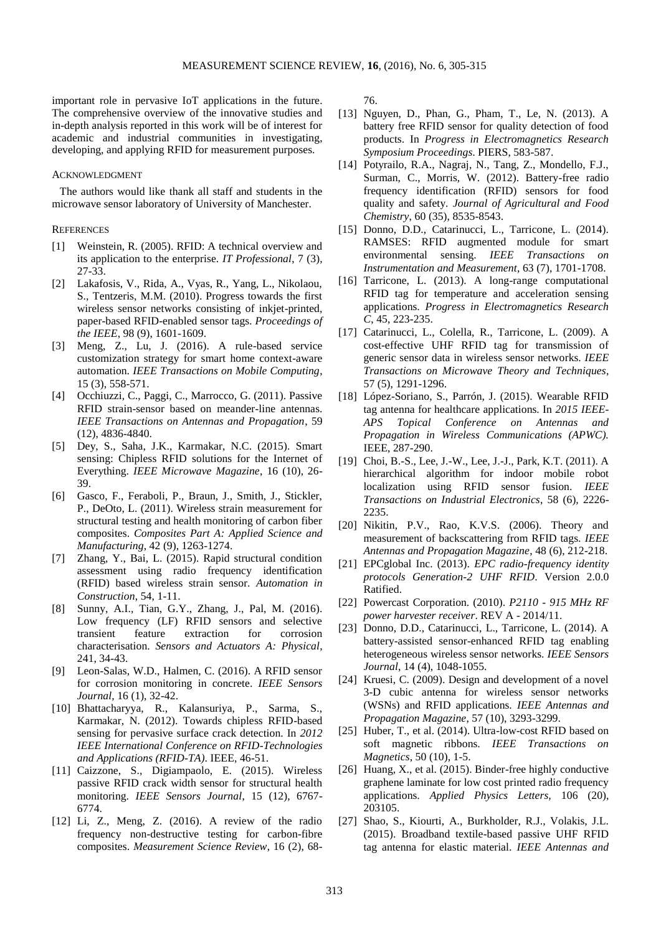important role in pervasive IoT applications in the future. The comprehensive overview of the innovative studies and in-depth analysis reported in this work will be of interest for academic and industrial communities in investigating, developing, and applying RFID for measurement purposes.

## ACKNOWLEDGMENT

The authors would like thank all staff and students in the microwave sensor laboratory of University of Manchester.

#### **REFERENCES**

- [1] Weinstein, R. (2005). RFID: A technical overview and its application to the enterprise. *IT Professional*, 7 (3), 27-33.
- [2] Lakafosis, V., Rida, A., Vyas, R., Yang, L., Nikolaou, S., Tentzeris, M.M. (2010). Progress towards the first wireless sensor networks consisting of inkjet-printed, paper-based RFID-enabled sensor tags. *Proceedings of the IEEE*, 98 (9), 1601-1609.
- [3] Meng, Z., Lu, J. (2016). A rule-based service customization strategy for smart home context-aware automation. *IEEE Transactions on Mobile Computing*, 15 (3), 558-571.
- [4] Occhiuzzi, C., Paggi, C., Marrocco, G. (2011). Passive RFID strain-sensor based on meander-line antennas. *IEEE Transactions on Antennas and Propagation*, 59 (12), 4836-4840.
- [5] Dey, S., Saha, J.K., Karmakar, N.C. (2015). Smart sensing: Chipless RFID solutions for the Internet of Everything. *IEEE Microwave Magazine*, 16 (10), 26- 39.
- [6] Gasco, F., Feraboli, P., Braun, J., Smith, J., Stickler, P., DeOto, L. (2011). Wireless strain measurement for structural testing and health monitoring of carbon fiber composites. *Composites Part A: Applied Science and Manufacturing*, 42 (9), 1263-1274.
- [7] Zhang, Y., Bai, L. (2015). Rapid structural condition assessment using radio frequency identification (RFID) based wireless strain sensor. *Automation in Construction*, 54, 1-11.
- [8] Sunny, A.I., Tian, G.Y., Zhang, J., Pal, M. (2016). Low frequency (LF) RFID sensors and selective transient feature extraction for corrosion characterisation. *Sensors and Actuators A: Physical*, 241, 34-43.
- [9] Leon-Salas, W.D., Halmen, C. (2016). A RFID sensor for corrosion monitoring in concrete. *IEEE Sensors Journal*, 16 (1), 32-42.
- [10] Bhattacharyya, R., Kalansuriya, P., Sarma, S., Karmakar, N. (2012). Towards chipless RFID-based sensing for pervasive surface crack detection. In *2012 IEEE International Conference on RFID-Technologies and Applications (RFID-TA)*. IEEE, 46-51.
- [11] Caizzone, S., Digiampaolo, E. (2015). Wireless passive RFID crack width sensor for structural health monitoring. *IEEE Sensors Journal*, 15 (12), 6767- 6774.
- [12] Li, Z., Meng, Z. (2016). A review of the radio frequency non-destructive testing for carbon-fibre composites. *Measurement Science Review*, 16 (2), 68-

76.

- [13] Nguyen, D., Phan, G., Pham, T., Le, N. (2013). A battery free RFID sensor for quality detection of food products. In *Progress in Electromagnetics Research Symposium Proceedings*. PIERS, 583-587.
- [14] Potyrailo, R.A., Nagraj, N., Tang, Z., Mondello, F.J., Surman, C., Morris, W. (2012). Battery-free radio frequency identification (RFID) sensors for food quality and safety. *Journal of Agricultural and Food Chemistry*, 60 (35), 8535-8543.
- [15] Donno, D.D., Catarinucci, L., Tarricone, L. (2014). RAMSES: RFID augmented module for smart environmental sensing. *IEEE Transactions on Instrumentation and Measurement*, 63 (7), 1701-1708.
- [16] Tarricone, L. (2013). A long-range computational RFID tag for temperature and acceleration sensing applications. *Progress in Electromagnetics Research C*, 45, 223-235.
- [17] Catarinucci, L., Colella, R., Tarricone, L. (2009). A cost-effective UHF RFID tag for transmission of generic sensor data in wireless sensor networks. *IEEE Transactions on Microwave Theory and Techniques*, 57 (5), 1291-1296.
- [18] López-Soriano, S., Parrón, J. (2015). Wearable RFID tag antenna for healthcare applications. In *2015 IEEE-APS Topical Conference on Antennas and Propagation in Wireless Communications (APWC).*  IEEE, 287-290.
- [19] Choi, B.-S., Lee, J.-W., Lee, J.-J., Park, K.T. (2011). A hierarchical algorithm for indoor mobile robot localization using RFID sensor fusion. *IEEE Transactions on Industrial Electronics*, 58 (6), 2226- 2235.
- [20] Nikitin, P.V., Rao, K.V.S. (2006). Theory and measurement of backscattering from RFID tags. *IEEE Antennas and Propagation Magazine*, 48 (6), 212-218.
- [21] EPCglobal Inc. (2013). *EPC radio-frequency identity protocols Generation-2 UHF RFID*. Version 2.0.0 Ratified.
- [22] Powercast Corporation. (2010). *P2110 - 915 MHz RF power harvester receiver*. REV A - 2014/11.
- [23] Donno, D.D., Catarinucci, L., Tarricone, L. (2014). A battery-assisted sensor-enhanced RFID tag enabling heterogeneous wireless sensor networks. *IEEE Sensors Journal*, 14 (4), 1048-1055.
- [24] Kruesi, C. (2009). Design and development of a novel 3-D cubic antenna for wireless sensor networks (WSNs) and RFID applications. *IEEE Antennas and Propagation Magazine*, 57 (10), 3293-3299.
- [25] Huber, T., et al. (2014). Ultra-low-cost RFID based on soft magnetic ribbons. *IEEE Transactions on Magnetics*, 50 (10), 1-5.
- [26] Huang, X., et al. (2015). Binder-free highly conductive graphene laminate for low cost printed radio frequency applications. *Applied Physics Letters,* 106 (20), 203105.
- [27] Shao, S., Kiourti, A., Burkholder, R.J., Volakis, J.L. (2015). Broadband textile-based passive UHF RFID tag antenna for elastic material. *IEEE Antennas and*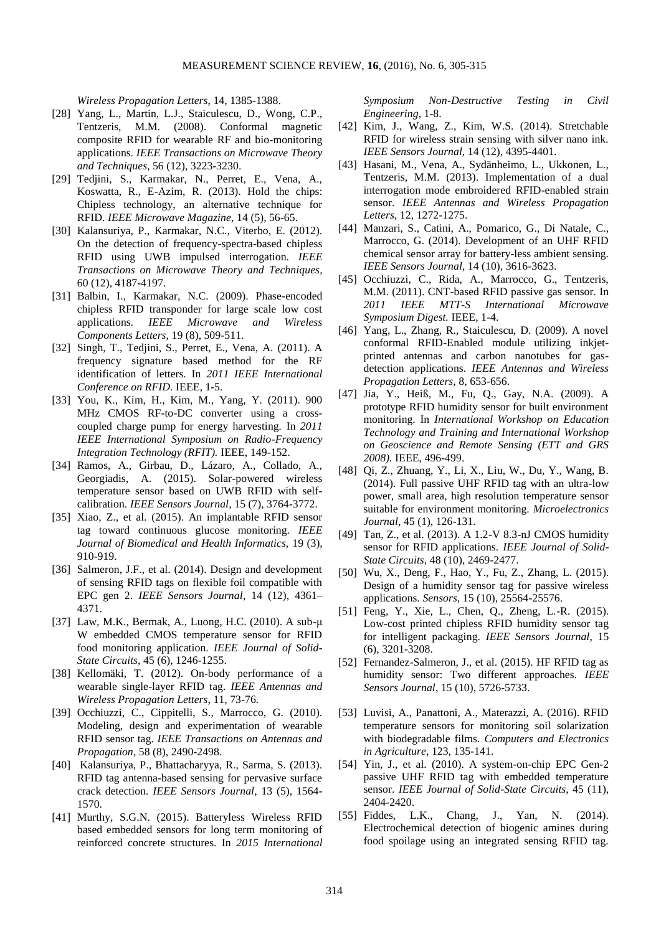*Wireless Propagation Letters*, 14, 1385-1388.

- [28] Yang, L., Martin, L.J., Staiculescu, D., Wong, C.P., Tentzeris, M.M. (2008). Conformal magnetic composite RFID for wearable RF and bio-monitoring applications. *IEEE Transactions on Microwave Theory and Techniques*, 56 (12), 3223-3230.
- [29] Tedjini, S., Karmakar, N., Perret, E., Vena, A., Koswatta, R., E-Azim, R. (2013). Hold the chips: Chipless technology, an alternative technique for RFID. *IEEE Microwave Magazine*, 14 (5), 56-65.
- [30] Kalansuriya, P., Karmakar, N.C., Viterbo, E. (2012). On the detection of frequency-spectra-based chipless RFID using UWB impulsed interrogation. *IEEE Transactions on Microwave Theory and Techniques*, 60 (12), 4187-4197.
- [31] Balbin, I., Karmakar, N.C. (2009). Phase-encoded chipless RFID transponder for large scale low cost applications. *IEEE Microwave and Wireless Components Letters*, 19 (8), 509-511.
- [32] Singh, T., Tedjini, S., Perret, E., Vena, A. (2011). A frequency signature based method for the RF identification of letters. In *2011 IEEE International Conference on RFID.* IEEE, 1-5.
- [33] You, K., Kim, H., Kim, M., Yang, Y. (2011). 900 MHz CMOS RF-to-DC converter using a crosscoupled charge pump for energy harvesting*.* In *2011 IEEE International Symposium on Radio-Frequency Integration Technology (RFIT).* IEEE, 149-152.
- [34] Ramos, A., Girbau, D., Lázaro, A., Collado, A., Georgiadis, A. (2015). Solar-powered wireless temperature sensor based on UWB RFID with selfcalibration. *IEEE Sensors Journal*, 15 (7), 3764-3772.
- [35] Xiao, Z., et al. (2015). An implantable RFID sensor tag toward continuous glucose monitoring. *IEEE Journal of Biomedical and Health Informatics,* 19 (3), 910-919.
- [36] Salmeron, J.F., et al. (2014). Design and development of sensing RFID tags on flexible foil compatible with EPC gen 2. *IEEE Sensors Journal*, 14 (12), 4361– 4371.
- [37] Law, M.K., Bermak, A., Luong, H.C. (2010). A sub-μ W embedded CMOS temperature sensor for RFID food monitoring application. *IEEE Journal of Solid-State Circuits*, 45 (6), 1246-1255.
- [38] Kellomäki, T. (2012). On-body performance of a wearable single-layer RFID tag. *IEEE Antennas and Wireless Propagation Letters*, 11, 73-76.
- [39] Occhiuzzi, C., Cippitelli, S., Marrocco, G. (2010). Modeling, design and experimentation of wearable RFID sensor tag. *IEEE Transactions on Antennas and Propagation*, 58 (8), 2490-2498.
- [40] Kalansuriya, P., Bhattacharyya, R., Sarma, S. (2013). RFID tag antenna-based sensing for pervasive surface crack detection. *IEEE Sensors Journal*, 13 (5), 1564- 1570.
- [41] Murthy, S.G.N. (2015). Batteryless Wireless RFID based embedded sensors for long term monitoring of reinforced concrete structures. In *2015 International*

*Symposium Non-Destructive Testing in Civil Engineering*, 1-8.

- [42] Kim, J., Wang, Z., Kim, W.S. (2014). Stretchable RFID for wireless strain sensing with silver nano ink. *IEEE Sensors Journal,* 14 (12), 4395-4401.
- [43] Hasani, M., Vena, A., Sydänheimo, L., Ukkonen, L., Tentzeris, M.M. (2013). Implementation of a dual interrogation mode embroidered RFID-enabled strain sensor. *IEEE Antennas and Wireless Propagation Letters*, 12, 1272-1275.
- [44] Manzari, S., Catini, A., Pomarico, G., Di Natale, C., Marrocco, G. (2014). Development of an UHF RFID chemical sensor array for battery-less ambient sensing. *IEEE Sensors Journal*, 14 (10), 3616-3623.
- [45] Occhiuzzi, C., Rida, A., Marrocco, G., Tentzeris, M.M. (2011). CNT-based RFID passive gas sensor. In *2011 IEEE MTT-S International Microwave Symposium Digest.* IEEE, 1-4.
- [46] Yang, L., Zhang, R., Staiculescu, D. (2009). A novel conformal RFID-Enabled module utilizing inkjetprinted antennas and carbon nanotubes for gasdetection applications. *IEEE Antennas and Wireless Propagation Letters*, 8, 653-656.
- [47] Jia, Y., Heiß, M., Fu, Q., Gay, N.A. (2009). A prototype RFID humidity sensor for built environment monitoring. In *International Workshop on Education Technology and Training and International Workshop on Geoscience and Remote Sensing (ETT and GRS 2008).* IEEE, 496-499.
- [48] Qi, Z., Zhuang, Y., Li, X., Liu, W., Du, Y., Wang, B. (2014). Full passive UHF RFID tag with an ultra-low power, small area, high resolution temperature sensor suitable for environment monitoring. *Microelectronics Journal*, 45 (1), 126-131.
- [49] Tan, Z., et al. (2013). A 1.2-V 8.3-nJ CMOS humidity sensor for RFID applications. *IEEE Journal of Solid-State Circuits*, 48 (10), 2469-2477.
- [50] Wu, X., Deng, F., Hao, Y., Fu, Z., Zhang, L. (2015). Design of a humidity sensor tag for passive wireless applications. *Sensors*, 15 (10), 25564-25576.
- [51] Feng, Y., Xie, L., Chen, Q., Zheng, L.-R. (2015). Low-cost printed chipless RFID humidity sensor tag for intelligent packaging. *IEEE Sensors Journal*, 15 (6), 3201-3208.
- [52] Fernandez-Salmeron, J., et al. (2015). HF RFID tag as humidity sensor: Two different approaches. *IEEE Sensors Journal*, 15 (10), 5726-5733.
- [53] Luvisi, A., Panattoni, A., Materazzi, A. (2016). RFID temperature sensors for monitoring soil solarization with biodegradable films. *Computers and Electronics in Agriculture*, 123, 135-141.
- [54] Yin, J., et al. (2010). A system-on-chip EPC Gen-2 passive UHF RFID tag with embedded temperature sensor. *IEEE Journal of Solid-State Circuits*, 45 (11), 2404-2420.
- [55] Fiddes, L.K., Chang, J., Yan, N. (2014). Electrochemical detection of biogenic amines during food spoilage using an integrated sensing RFID tag.